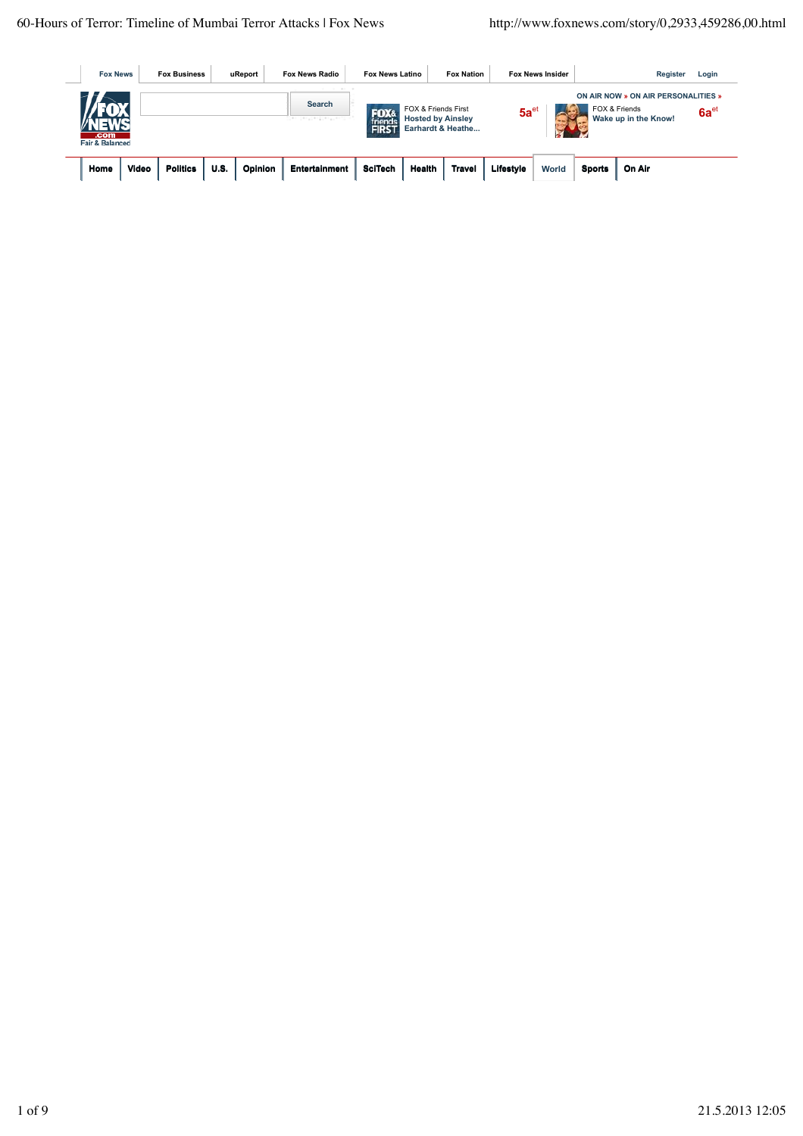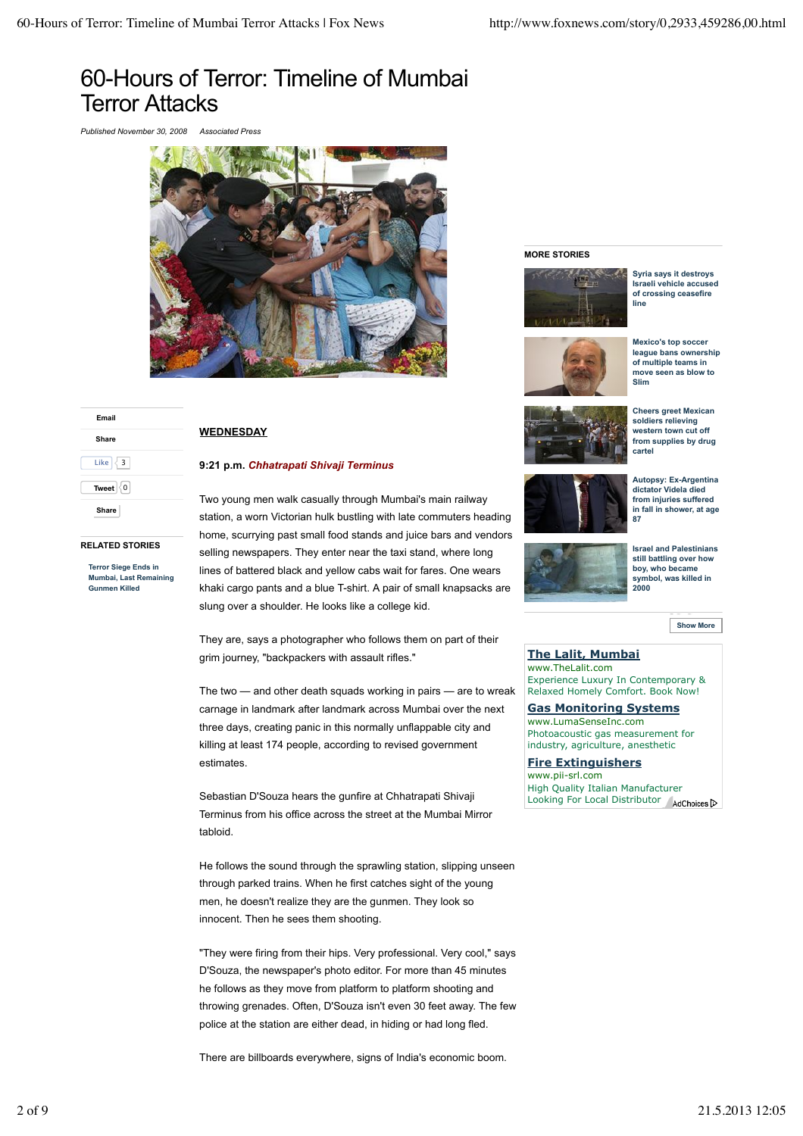# 60-Hours of Terror: Timeline of Mumbai Terror Attacks

*Published November 30, 2008 Associated Press*



 **Email Share Tweet** 0 Like  $\sqrt{3}$ **Share**

#### **RELATED STORIES**

**Terror Siege Ends in Mumbai, Last Remaining Gunmen Killed**

## **WEDNESDAY**

## **9:21 p.m.** *Chhatrapati Shivaji Terminus*

Two young men walk casually through Mumbai's main railway station, a worn Victorian hulk bustling with late commuters heading home, scurrying past small food stands and juice bars and vendors selling newspapers. They enter near the taxi stand, where long lines of battered black and yellow cabs wait for fares. One wears khaki cargo pants and a blue T-shirt. A pair of small knapsacks are slung over a shoulder. He looks like a college kid.

They are, says a photographer who follows them on part of their grim journey, "backpackers with assault rifles."

The two — and other death squads working in pairs — are to wreak carnage in landmark after landmark across Mumbai over the next three days, creating panic in this normally unflappable city and killing at least 174 people, according to revised government estimates.

Sebastian D'Souza hears the gunfire at Chhatrapati Shivaji Terminus from his office across the street at the Mumbai Mirror tabloid.

He follows the sound through the sprawling station, slipping unseen through parked trains. When he first catches sight of the young men, he doesn't realize they are the gunmen. They look so innocent. Then he sees them shooting.

"They were firing from their hips. Very professional. Very cool," says D'Souza, the newspaper's photo editor. For more than 45 minutes he follows as they move from platform to platform shooting and throwing grenades. Often, D'Souza isn't even 30 feet away. The few police at the station are either dead, in hiding or had long fled.

There are billboards everywhere, signs of India's economic boom.

#### **MORE STORIES**



**Syria says it destroys Israeli vehicle accused of crossing ceasefire line**



**Mexico's top soccer league bans ownership of multiple teams in move seen as blow to Slim**



**western town cut off from supplies by drug cartel**

**Cheers greet Mexican soldiers relieving**



**Autopsy: Ex-Argentina dictator Videla died from injuries suffered in fall in shower, at age 87**



**Israel and Palestinians still battling over how boy, who became symbol, was killed in 2000**

**Show More**

**The Lalit, Mumbai** www.TheLalit.com Experience Luxury In Contemporary & Relaxed Homely Comfort. Book Now!

**Gas Monitoring Systems** www.LumaSenseInc.com Photoacoustic gas measurement for industry, agriculture, anesthetic

**Fire Extinguishers** www.pii-srl.com High Quality Italian Manufacturer Looking For Local Distributor AdChoices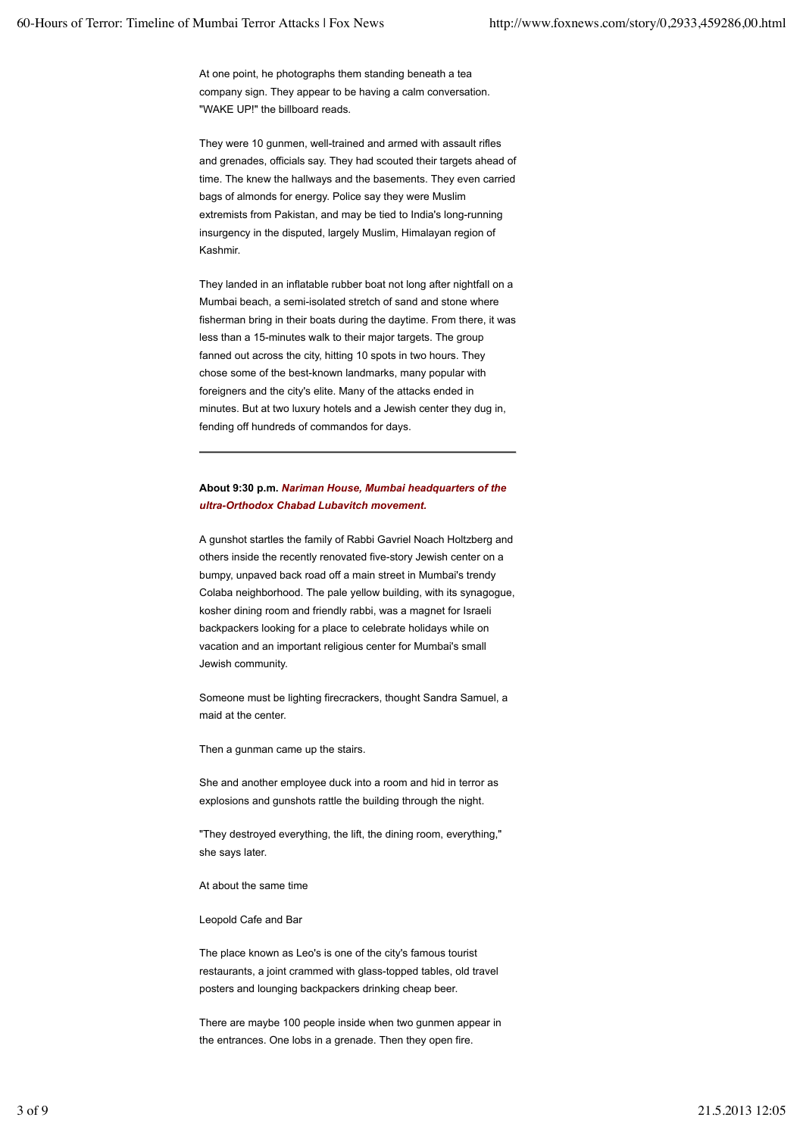At one point, he photographs them standing beneath a tea company sign. They appear to be having a calm conversation. "WAKE UP!" the billboard reads.

They were 10 gunmen, well-trained and armed with assault rifles and grenades, officials say. They had scouted their targets ahead of time. The knew the hallways and the basements. They even carried bags of almonds for energy. Police say they were Muslim extremists from Pakistan, and may be tied to India's long-running insurgency in the disputed, largely Muslim, Himalayan region of Kashmir.

They landed in an inflatable rubber boat not long after nightfall on a Mumbai beach, a semi-isolated stretch of sand and stone where fisherman bring in their boats during the daytime. From there, it was less than a 15-minutes walk to their major targets. The group fanned out across the city, hitting 10 spots in two hours. They chose some of the best-known landmarks, many popular with foreigners and the city's elite. Many of the attacks ended in minutes. But at two luxury hotels and a Jewish center they dug in, fending off hundreds of commandos for days.

## **About 9:30 p.m.** *Nariman House, Mumbai headquarters of the ultra-Orthodox Chabad Lubavitch movement.*

A gunshot startles the family of Rabbi Gavriel Noach Holtzberg and others inside the recently renovated five-story Jewish center on a bumpy, unpaved back road off a main street in Mumbai's trendy Colaba neighborhood. The pale yellow building, with its synagogue, kosher dining room and friendly rabbi, was a magnet for Israeli backpackers looking for a place to celebrate holidays while on vacation and an important religious center for Mumbai's small Jewish community.

Someone must be lighting firecrackers, thought Sandra Samuel, a maid at the center.

Then a gunman came up the stairs.

She and another employee duck into a room and hid in terror as explosions and gunshots rattle the building through the night.

"They destroyed everything, the lift, the dining room, everything," she says later.

At about the same time

Leopold Cafe and Bar

The place known as Leo's is one of the city's famous tourist restaurants, a joint crammed with glass-topped tables, old travel posters and lounging backpackers drinking cheap beer.

There are maybe 100 people inside when two gunmen appear in the entrances. One lobs in a grenade. Then they open fire.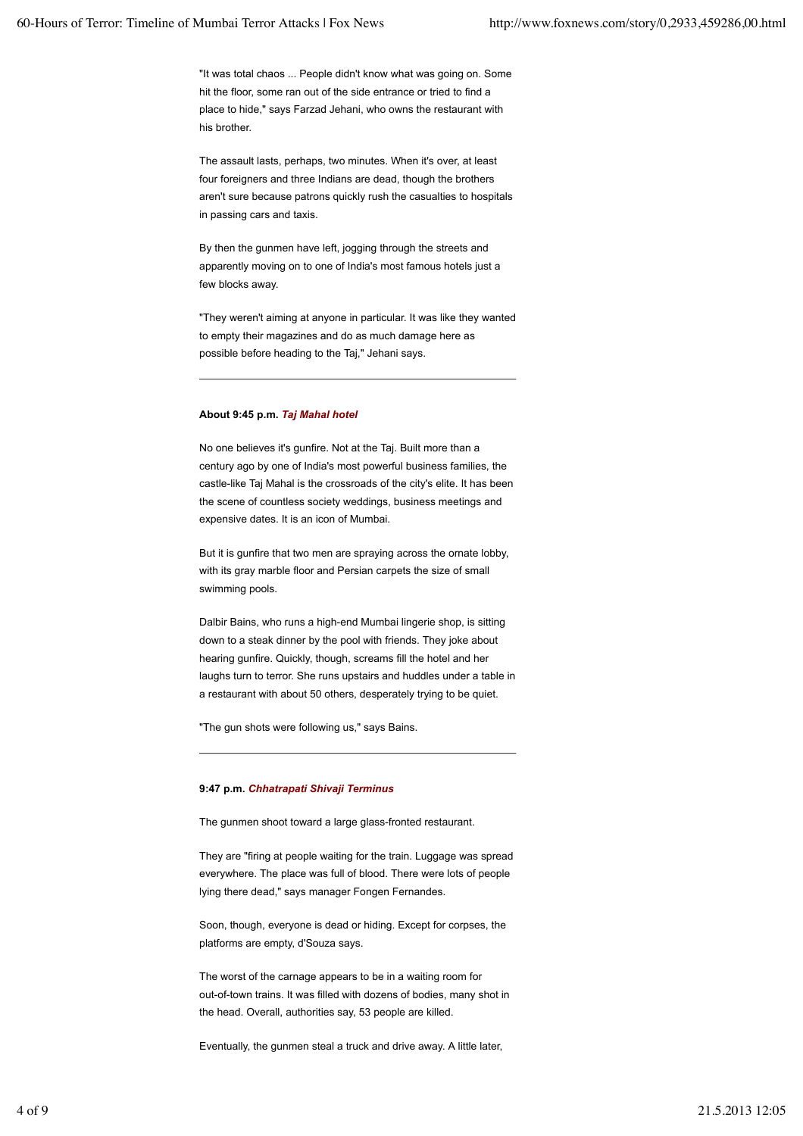"It was total chaos ... People didn't know what was going on. Some hit the floor, some ran out of the side entrance or tried to find a place to hide," says Farzad Jehani, who owns the restaurant with his brother.

The assault lasts, perhaps, two minutes. When it's over, at least four foreigners and three Indians are dead, though the brothers aren't sure because patrons quickly rush the casualties to hospitals in passing cars and taxis.

By then the gunmen have left, jogging through the streets and apparently moving on to one of India's most famous hotels just a few blocks away.

"They weren't aiming at anyone in particular. It was like they wanted to empty their magazines and do as much damage here as possible before heading to the Taj," Jehani says.

#### **About 9:45 p.m.** *Taj Mahal hotel*

No one believes it's gunfire. Not at the Taj. Built more than a century ago by one of India's most powerful business families, the castle-like Taj Mahal is the crossroads of the city's elite. It has been the scene of countless society weddings, business meetings and expensive dates. It is an icon of Mumbai.

But it is gunfire that two men are spraying across the ornate lobby, with its gray marble floor and Persian carpets the size of small swimming pools.

Dalbir Bains, who runs a high-end Mumbai lingerie shop, is sitting down to a steak dinner by the pool with friends. They joke about hearing gunfire. Quickly, though, screams fill the hotel and her laughs turn to terror. She runs upstairs and huddles under a table in a restaurant with about 50 others, desperately trying to be quiet.

"The gun shots were following us," says Bains.

## **9:47 p.m.** *Chhatrapati Shivaji Terminus*

The gunmen shoot toward a large glass-fronted restaurant.

They are "firing at people waiting for the train. Luggage was spread everywhere. The place was full of blood. There were lots of people lying there dead," says manager Fongen Fernandes.

Soon, though, everyone is dead or hiding. Except for corpses, the platforms are empty, d'Souza says.

The worst of the carnage appears to be in a waiting room for out-of-town trains. It was filled with dozens of bodies, many shot in the head. Overall, authorities say, 53 people are killed.

Eventually, the gunmen steal a truck and drive away. A little later,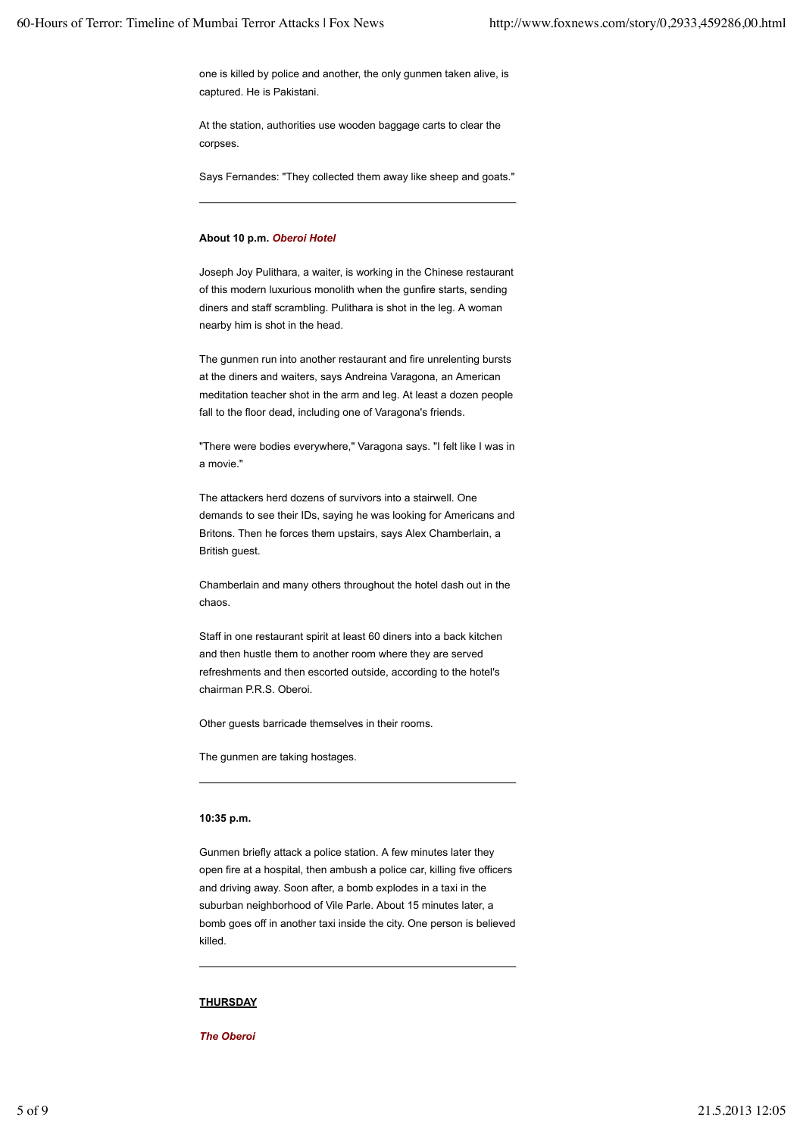one is killed by police and another, the only gunmen taken alive, is captured. He is Pakistani.

At the station, authorities use wooden baggage carts to clear the corpses.

Says Fernandes: "They collected them away like sheep and goats."

## **About 10 p.m.** *Oberoi Hotel*

Joseph Joy Pulithara, a waiter, is working in the Chinese restaurant of this modern luxurious monolith when the gunfire starts, sending diners and staff scrambling. Pulithara is shot in the leg. A woman nearby him is shot in the head.

The gunmen run into another restaurant and fire unrelenting bursts at the diners and waiters, says Andreina Varagona, an American meditation teacher shot in the arm and leg. At least a dozen people fall to the floor dead, including one of Varagona's friends.

"There were bodies everywhere," Varagona says. "I felt like I was in a movie."

The attackers herd dozens of survivors into a stairwell. One demands to see their IDs, saying he was looking for Americans and Britons. Then he forces them upstairs, says Alex Chamberlain, a British guest.

Chamberlain and many others throughout the hotel dash out in the chaos.

Staff in one restaurant spirit at least 60 diners into a back kitchen and then hustle them to another room where they are served refreshments and then escorted outside, according to the hotel's chairman P.R.S. Oberoi.

Other guests barricade themselves in their rooms.

The gunmen are taking hostages.

## **10:35 p.m.**

Gunmen briefly attack a police station. A few minutes later they open fire at a hospital, then ambush a police car, killing five officers and driving away. Soon after, a bomb explodes in a taxi in the suburban neighborhood of Vile Parle. About 15 minutes later, a bomb goes off in another taxi inside the city. One person is believed killed.

#### **THURSDAY**

*The Oberoi*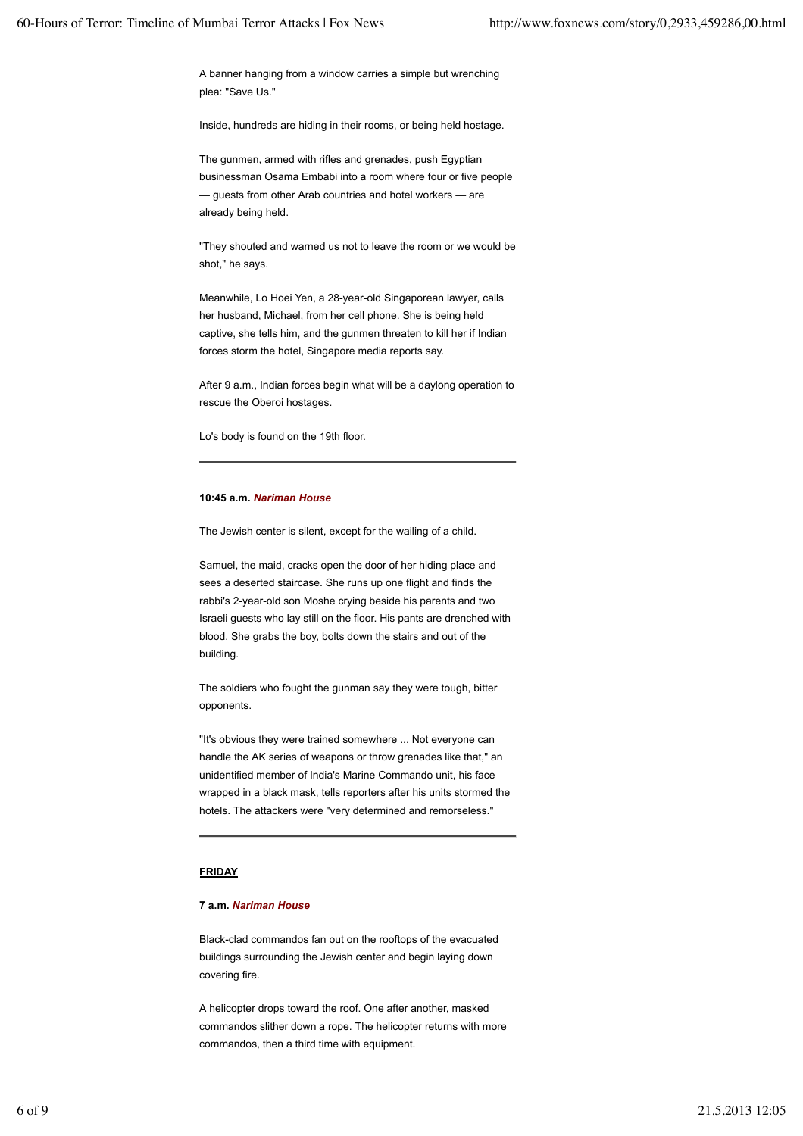A banner hanging from a window carries a simple but wrenching plea: "Save Us."

Inside, hundreds are hiding in their rooms, or being held hostage.

The gunmen, armed with rifles and grenades, push Egyptian businessman Osama Embabi into a room where four or five people — guests from other Arab countries and hotel workers — are already being held.

"They shouted and warned us not to leave the room or we would be shot," he says.

Meanwhile, Lo Hoei Yen, a 28-year-old Singaporean lawyer, calls her husband, Michael, from her cell phone. She is being held captive, she tells him, and the gunmen threaten to kill her if Indian forces storm the hotel, Singapore media reports say.

After 9 a.m., Indian forces begin what will be a daylong operation to rescue the Oberoi hostages.

Lo's body is found on the 19th floor.

## **10:45 a.m.** *Nariman House*

The Jewish center is silent, except for the wailing of a child.

Samuel, the maid, cracks open the door of her hiding place and sees a deserted staircase. She runs up one flight and finds the rabbi's 2-year-old son Moshe crying beside his parents and two Israeli guests who lay still on the floor. His pants are drenched with blood. She grabs the boy, bolts down the stairs and out of the building.

The soldiers who fought the gunman say they were tough, bitter opponents.

"It's obvious they were trained somewhere ... Not everyone can handle the AK series of weapons or throw grenades like that," an unidentified member of India's Marine Commando unit, his face wrapped in a black mask, tells reporters after his units stormed the hotels. The attackers were "very determined and remorseless."

#### **FRIDAY**

## **7 a.m.** *Nariman House*

Black-clad commandos fan out on the rooftops of the evacuated buildings surrounding the Jewish center and begin laying down covering fire.

A helicopter drops toward the roof. One after another, masked commandos slither down a rope. The helicopter returns with more commandos, then a third time with equipment.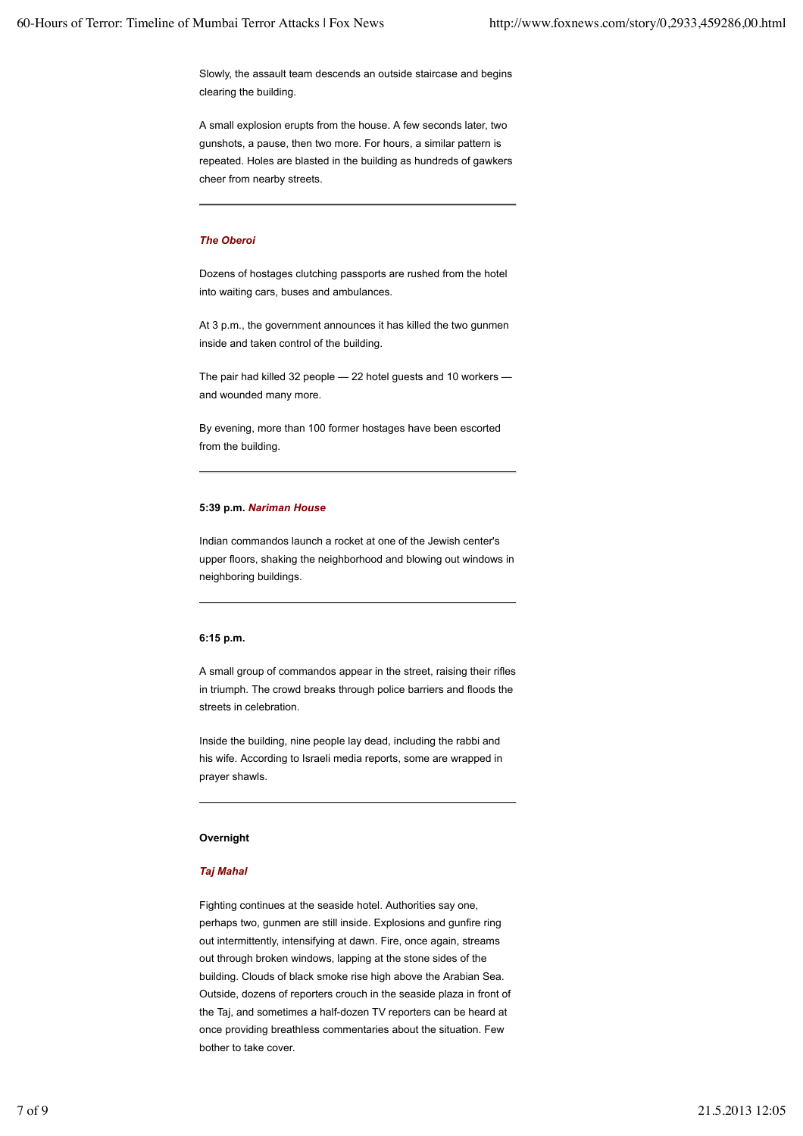Slowly, the assault team descends an outside staircase and begins clearing the building.

A small explosion erupts from the house. A few seconds later, two gunshots, a pause, then two more. For hours, a similar pattern is repeated. Holes are blasted in the building as hundreds of gawkers cheer from nearby streets.

## *The Oberoi*

Dozens of hostages clutching passports are rushed from the hotel into waiting cars, buses and ambulances.

At 3 p.m., the government announces it has killed the two gunmen inside and taken control of the building.

The pair had killed 32 people — 22 hotel guests and 10 workers and wounded many more.

By evening, more than 100 former hostages have been escorted from the building.

## **5:39 p.m.** *Nariman House*

Indian commandos launch a rocket at one of the Jewish center's upper floors, shaking the neighborhood and blowing out windows in neighboring buildings.

#### **6:15 p.m.**

A small group of commandos appear in the street, raising their rifles in triumph. The crowd breaks through police barriers and floods the streets in celebration.

Inside the building, nine people lay dead, including the rabbi and his wife. According to Israeli media reports, some are wrapped in prayer shawls.

#### **Overnight**

## *Taj Mahal*

Fighting continues at the seaside hotel. Authorities say one, perhaps two, gunmen are still inside. Explosions and gunfire ring out intermittently, intensifying at dawn. Fire, once again, streams out through broken windows, lapping at the stone sides of the building. Clouds of black smoke rise high above the Arabian Sea. Outside, dozens of reporters crouch in the seaside plaza in front of the Taj, and sometimes a half-dozen TV reporters can be heard at once providing breathless commentaries about the situation. Few bother to take cover.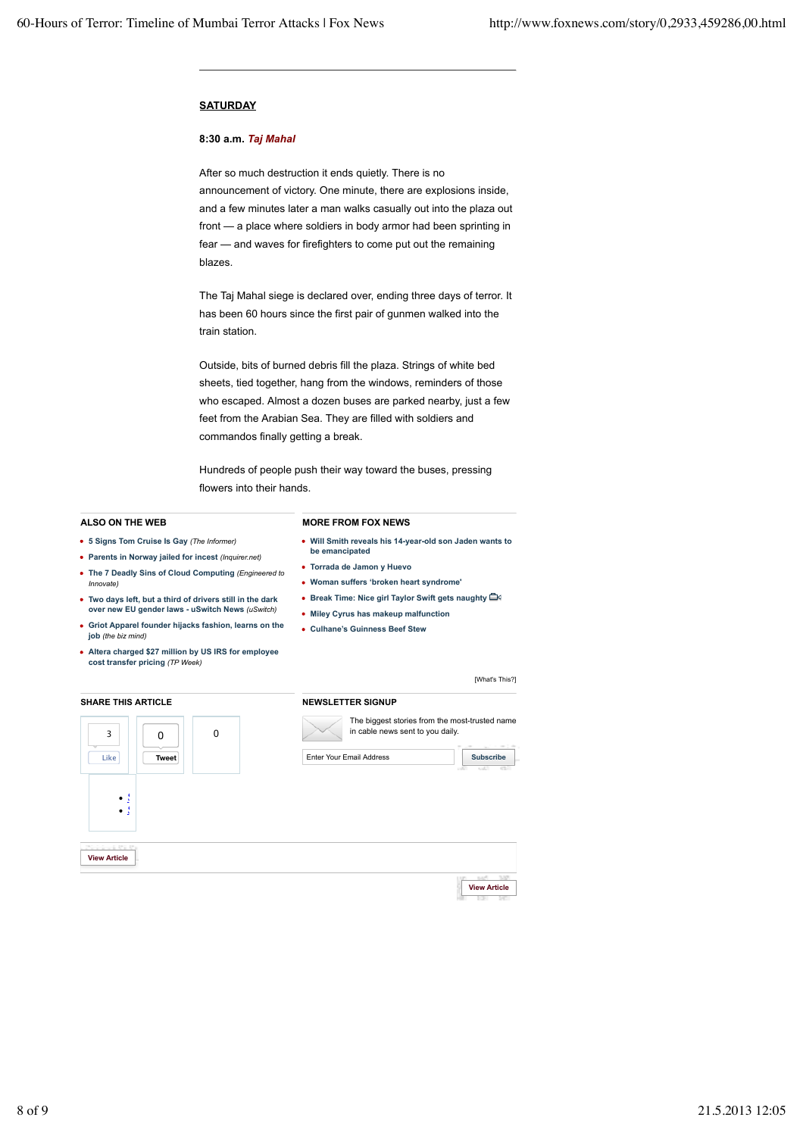#### **SATURDAY**

#### **8:30 a.m.** *Taj Mahal*

After so much destruction it ends quietly. There is no announcement of victory. One minute, there are explosions inside, and a few minutes later a man walks casually out into the plaza out front — a place where soldiers in body armor had been sprinting in fear — and waves for firefighters to come put out the remaining blazes.

The Taj Mahal siege is declared over, ending three days of terror. It has been 60 hours since the first pair of gunmen walked into the train station.

Outside, bits of burned debris fill the plaza. Strings of white bed sheets, tied together, hang from the windows, reminders of those who escaped. Almost a dozen buses are parked nearby, just a few feet from the Arabian Sea. They are filled with soldiers and commandos finally getting a break.

Hundreds of people push their way toward the buses, pressing flowers into their hands.

#### **ALSO ON THE WEB**

*Innovate)*

**job** *(the biz mind)*

**5 Signs Tom Cruise Is Gay** *(The Informer)* **Parents in Norway jailed for incest** *(Inquirer.net)*

**The 7 Deadly Sins of Cloud Computing** *(Engineered to*

**Two days left, but a third of drivers still in the dark over new EU gender laws - uSwitch News** *(uSwitch)* **Griot Apparel founder hijacks fashion, learns on the**

**Altera charged \$27 million by US IRS for employee**

## **MORE FROM FOX NEWS**

- **Will Smith reveals his 14-year-old son Jaden wants to be emancipated**
- **Torrada de Jamon y Huevo**
- **Woman suffers 'broken heart syndrome'**
- **Break Time: Nice girl Taylor Swift gets naughty**
- **Miley Cyrus has makeup malfunction**
- **Culhane's Guinness Beef Stew**
- [What's This?]

## **SHARE THIS ARTICLE NEWSLETTER SIGNUP**

**cost transfer pricing** *(TP Week)*

| 3<br>O                     | $\Omega$ | The biggest stories from the most-trusted name<br>in cable news sent to you daily. |                                               |
|----------------------------|----------|------------------------------------------------------------------------------------|-----------------------------------------------|
| Like<br>Tweet              |          | Enter Your Email Address                                                           | work and complete<br>Subscribe                |
|                            |          |                                                                                    | <b>COLLE</b><br>vol.7<br>$-0.71$              |
| $\bullet$ :<br>$\bullet$ : |          |                                                                                    |                                               |
|                            |          |                                                                                    |                                               |
| Connect Ca Ca              |          |                                                                                    |                                               |
| <b>View Article</b>        |          |                                                                                    |                                               |
|                            |          |                                                                                    | <b>SAMPLE</b><br>1.500<br><b>View Article</b> |